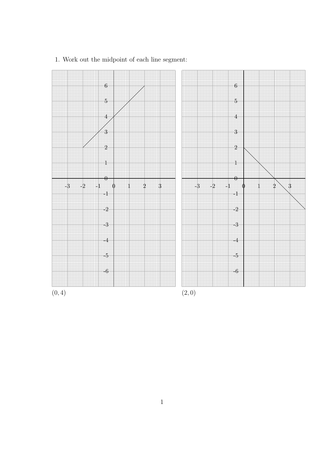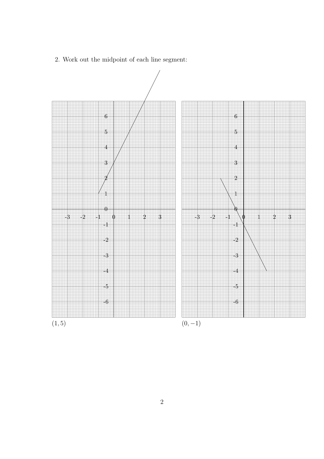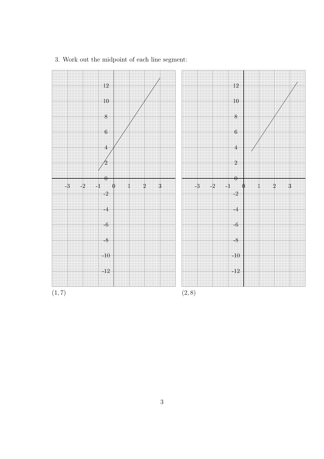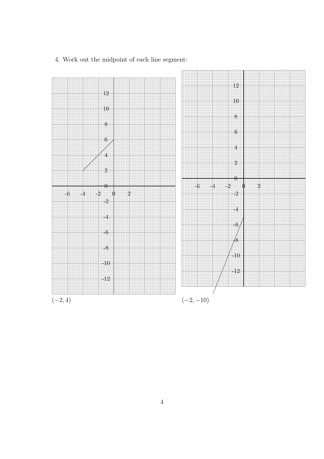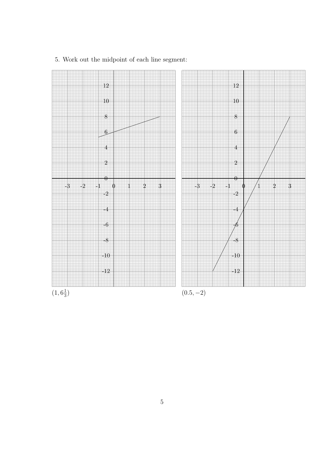

5. Work out the midpoint of each line segment: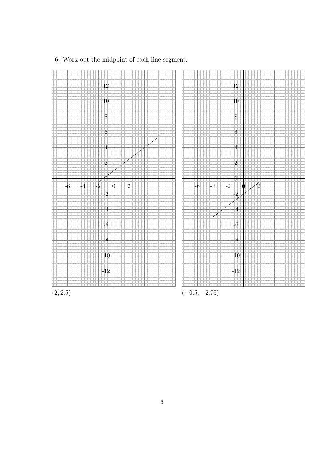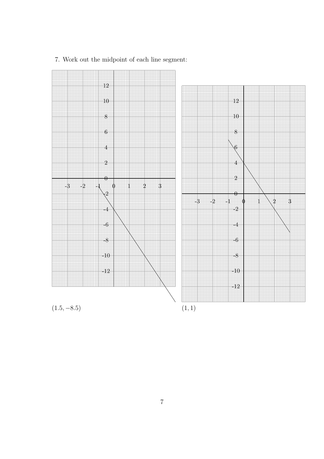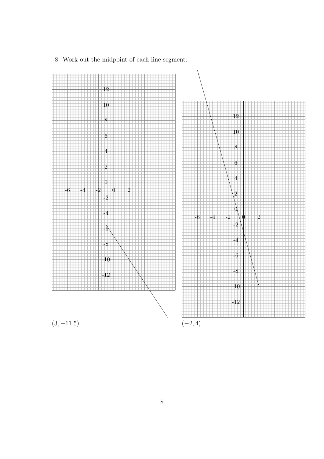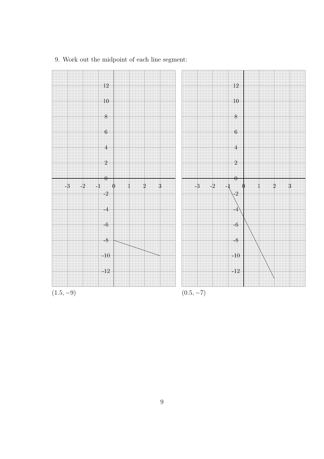

9. Work out the midpoint of each line segment: